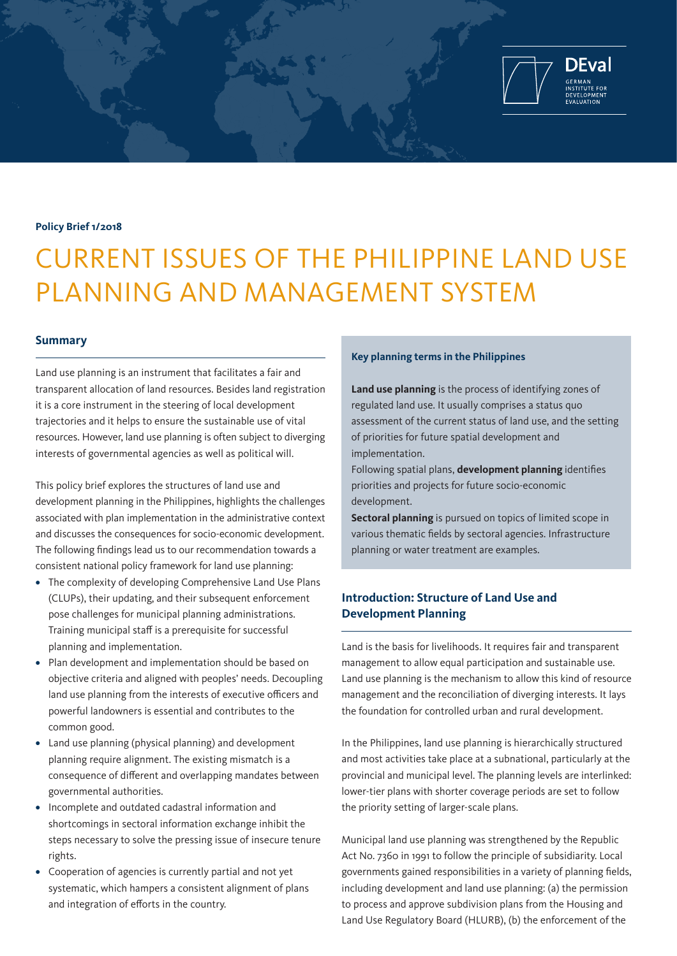

#### **Policy Brief 1/2018**

# CURRENT ISSUES OF THE PHILIPPINE LAND USE PLANNING AND MANAGEMENT SYSTEM

#### **Summary**

Land use planning is an instrument that facilitates a fair and transparent allocation of land resources. Besides land registration it is a core instrument in the steering of local development trajectories and it helps to ensure the sustainable use of vital resources. However, land use planning is often subject to diverging interests of governmental agencies as well as political will.

This policy brief explores the structures of land use and development planning in the Philippines, highlights the challenges associated with plan implementation in the administrative context and discusses the consequences for socio-economic development. The following findings lead us to our recommendation towards a consistent national policy framework for land use planning:

- **•** The complexity of developing Comprehensive Land Use Plans (CLUPs), their updating, and their subsequent enforcement pose challenges for municipal planning administrations. Training municipal staff is a prerequisite for successful planning and implementation.
- **•** Plan development and implementation should be based on objective criteria and aligned with peoples' needs. Decoupling land use planning from the interests of executive officers and powerful landowners is essential and contributes to the common good.
- **•** Land use planning (physical planning) and development planning require alignment. The existing mismatch is a consequence of different and overlapping mandates between governmental authorities.
- **•** Incomplete and outdated cadastral information and shortcomings in sectoral information exchange inhibit the steps necessary to solve the pressing issue of insecure tenure rights.
- **•** Cooperation of agencies is currently partial and not yet systematic, which hampers a consistent alignment of plans and integration of efforts in the country.

#### **Key planning terms in the Philippines**

**Land use planning** is the process of identifying zones of regulated land use. It usually comprises a status quo assessment of the current status of land use, and the setting of priorities for future spatial development and implementation.

Following spatial plans, **development planning** identifies priorities and projects for future socio-economic development.

**Sectoral planning** is pursued on topics of limited scope in various thematic fields by sectoral agencies. Infrastructure planning or water treatment are examples.

## **Introduction: Structure of Land Use and Development Planning**

Land is the basis for livelihoods. It requires fair and transparent management to allow equal participation and sustainable use. Land use planning is the mechanism to allow this kind of resource management and the reconciliation of diverging interests. It lays the foundation for controlled urban and rural development.

In the Philippines, land use planning is hierarchically structured and most activities take place at a subnational, particularly at the provincial and municipal level. The planning levels are interlinked: lower-tier plans with shorter coverage periods are set to follow the priority setting of larger-scale plans.

Municipal land use planning was strengthened by the Republic Act No. 7360 in 1991 to follow the principle of subsidiarity. Local governments gained responsibilities in a variety of planning fields, including development and land use planning: (a) the permission to process and approve subdivision plans from the Housing and Land Use Regulatory Board (HLURB), (b) the enforcement of the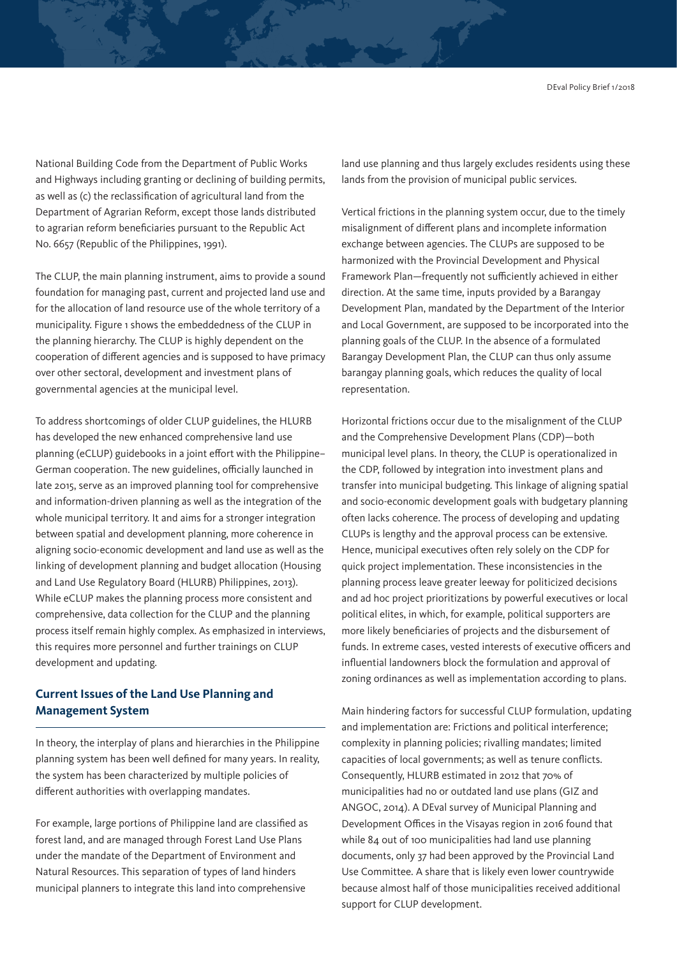National Building Code from the Department of Public Works and Highways including granting or declining of building permits, as well as (c) the reclassification of agricultural land from the Department of Agrarian Reform, except those lands distributed to agrarian reform beneficiaries pursuant to the Republic Act No. 6657 (Republic of the Philippines, 1991).

The CLUP, the main planning instrument, aims to provide a sound foundation for managing past, current and projected land use and for the allocation of land resource use of the whole territory of a municipality. Figure 1 shows the embeddedness of the CLUP in the planning hierarchy. The CLUP is highly dependent on the cooperation of different agencies and is supposed to have primacy over other sectoral, development and investment plans of governmental agencies at the municipal level.

To address shortcomings of older CLUP guidelines, the HLURB has developed the new enhanced comprehensive land use planning (eCLUP) guidebooks in a joint effort with the Philippine– German cooperation. The new guidelines, officially launched in late 2015, serve as an improved planning tool for comprehensive and information-driven planning as well as the integration of the whole municipal territory. It and aims for a stronger integration between spatial and development planning, more coherence in aligning socio-economic development and land use as well as the linking of development planning and budget allocation (Housing and Land Use Regulatory Board (HLURB) Philippines, 2013). While eCLUP makes the planning process more consistent and comprehensive, data collection for the CLUP and the planning process itself remain highly complex. As emphasized in interviews, this requires more personnel and further trainings on CLUP development and updating.

### **Current Issues of the Land Use Planning and Management System**

In theory, the interplay of plans and hierarchies in the Philippine planning system has been well defined for many years. In reality, the system has been characterized by multiple policies of different authorities with overlapping mandates.

For example, large portions of Philippine land are classified as forest land, and are managed through Forest Land Use Plans under the mandate of the Department of Environment and Natural Resources. This separation of types of land hinders municipal planners to integrate this land into comprehensive

land use planning and thus largely excludes residents using these lands from the provision of municipal public services.

Vertical frictions in the planning system occur, due to the timely misalignment of different plans and incomplete information exchange between agencies. The CLUPs are supposed to be harmonized with the Provincial Development and Physical Framework Plan—frequently not sufficiently achieved in either direction. At the same time, inputs provided by a Barangay Development Plan, mandated by the Department of the Interior and Local Government, are supposed to be incorporated into the planning goals of the CLUP. In the absence of a formulated Barangay Development Plan, the CLUP can thus only assume barangay planning goals, which reduces the quality of local representation.

Horizontal frictions occur due to the misalignment of the CLUP and the Comprehensive Development Plans (CDP)—both municipal level plans. In theory, the CLUP is operationalized in the CDP, followed by integration into investment plans and transfer into municipal budgeting. This linkage of aligning spatial and socio-economic development goals with budgetary planning often lacks coherence. The process of developing and updating CLUPs is lengthy and the approval process can be extensive. Hence, municipal executives often rely solely on the CDP for quick project implementation. These inconsistencies in the planning process leave greater leeway for politicized decisions and ad hoc project prioritizations by powerful executives or local political elites, in which, for example, political supporters are more likely beneficiaries of projects and the disbursement of funds. In extreme cases, vested interests of executive officers and influential landowners block the formulation and approval of zoning ordinances as well as implementation according to plans.

Main hindering factors for successful CLUP formulation, updating and implementation are: Frictions and political interference; complexity in planning policies; rivalling mandates; limited capacities of local governments; as well as tenure conflicts. Consequently, HLURB estimated in 2012 that 70% of municipalities had no or outdated land use plans (GIZ and ANGOC, 2014). A DEval survey of Municipal Planning and Development Offices in the Visayas region in 2016 found that while 84 out of 100 municipalities had land use planning documents, only 37 had been approved by the Provincial Land Use Committee. A share that is likely even lower countrywide because almost half of those municipalities received additional support for CLUP development.